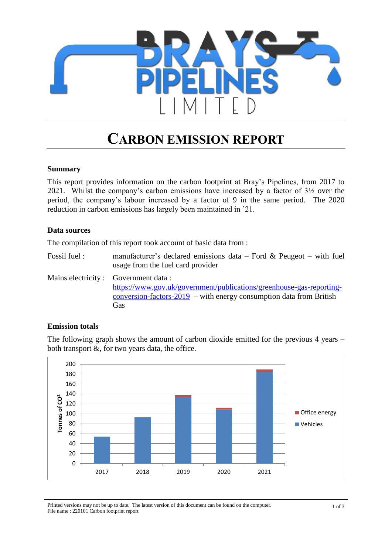

# **CARBON EMISSION REPORT**

#### **Summary**

This report provides information on the carbon footprint at Bray's Pipelines, from 2017 to 2021. Whilst the company's carbon emissions have increased by a factor of 3½ over the period, the company's labour increased by a factor of 9 in the same period. The 2020 reduction in carbon emissions has largely been maintained in '21.

#### **Data sources**

The compilation of this report took account of basic data from :

Fossil fuel : manufacturer's declared emissions data – Ford & Peugeot – with fuel usage from the fuel card provider

Mains electricity : Government data : [https://www.gov.uk/government/publications/greenhouse-gas-reporting](https://www.gov.uk/government/publications/greenhouse-gas-reporting-conversion-factors-2019)[conversion-factors-2019](https://www.gov.uk/government/publications/greenhouse-gas-reporting-conversion-factors-2019) – with energy consumption data from British Gas

#### **Emission totals**

The following graph shows the amount of carbon dioxide emitted for the previous 4 years – both transport  $\&$ , for two years data, the office.



Printed versions may not be up to date. The latest version of this document can be found on the computer. File name : 220101 Carbon footprint report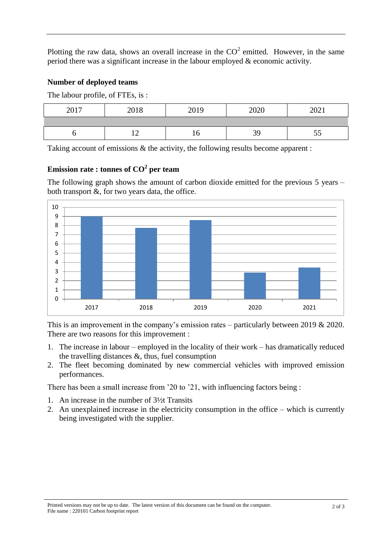Plotting the raw data, shows an overall increase in the  $CO<sup>2</sup>$  emitted. However, in the same period there was a significant increase in the labour employed & economic activity.

## **Number of deployed teams**

The labour profile, of FTEs, is :

| 2017 | 2018                               | 2019 | 2020 | 2021      |
|------|------------------------------------|------|------|-----------|
|      |                                    |      |      |           |
|      | $\sim$<br>$\overline{\phantom{0}}$ | 10   | 39   | - -<br>IJ |

Taking account of emissions & the activity, the following results become apparent :

# **Emission rate : tonnes of CO<sup>2</sup> per team**

The following graph shows the amount of carbon dioxide emitted for the previous 5 years – both transport  $\&$ , for two years data, the office.



This is an improvement in the company's emission rates – particularly between 2019 & 2020. There are two reasons for this improvement :

- 1. The increase in labour employed in the locality of their work has dramatically reduced the travelling distances  $\&$ , thus, fuel consumption
- 2. The fleet becoming dominated by new commercial vehicles with improved emission performances.

There has been a small increase from '20 to '21, with influencing factors being :

- 1. An increase in the number of 3½t Transits
- 2. An unexplained increase in the electricity consumption in the office which is currently being investigated with the supplier.